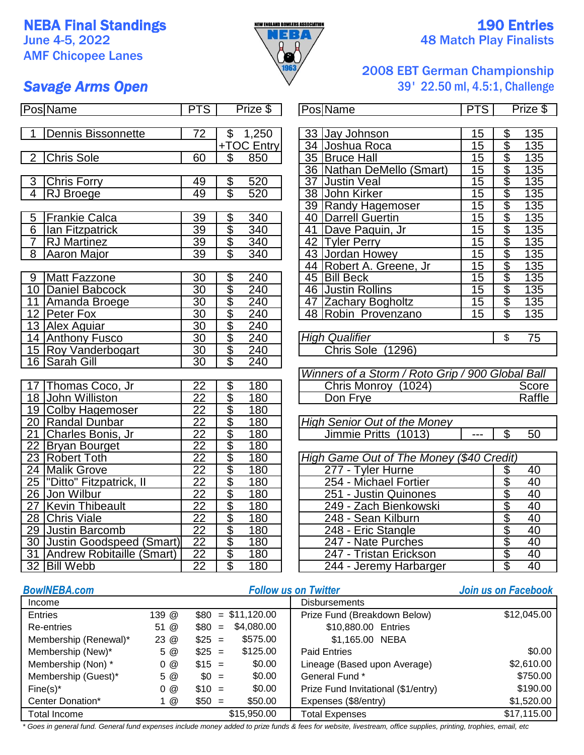## **NEBA Final Standings 190 Entries**

AMF Chicopee Lanes



# June 4-5, 2022  $\sqrt{1.6}$  Match Play Finalists

### 2008 EBT German Championship *Savage Arms Open* 39' 22.50 ml, 4.5:1, Challenge

| <b>Savage Arms Open</b> |  |  |
|-------------------------|--|--|
|-------------------------|--|--|

| <b>Pos Name</b>                         | <b>PTS</b>      |                          | Prize \$         | <b>Pos Name</b>                                  | <b>PTS</b>      |                         | Prize \$        |
|-----------------------------------------|-----------------|--------------------------|------------------|--------------------------------------------------|-----------------|-------------------------|-----------------|
|                                         |                 |                          |                  |                                                  |                 |                         |                 |
| <b>Dennis Bissonnette</b>               | 72              | $\overline{\mathcal{S}}$ | 1,250            | 33 Jay Johnson                                   | 15              | $\frac{6}{3}$           | 135             |
|                                         |                 |                          | +TOC Entry       | 34 Joshua Roca                                   | 15              |                         | 135             |
| <b>Chris Sole</b><br>$\overline{2}$     | 60              | \$                       | 850              | 35 Bruce Hall                                    | 15              | \$                      | 135             |
|                                         |                 |                          |                  | 36 Nathan DeMello (Smart)                        | 15              | $\overline{\$}$         | 135             |
| Chris Forry<br>3                        | 49              | $\overline{\mathcal{E}}$ | 520              | 37 Justin Veal                                   | 15              | $\overline{\$}$         | 135             |
| $\overline{4}$<br><b>RJ</b> Broege      | 49              | $\overline{\$}$          | 520              | 38 John Kirker                                   | 15              | $\overline{\$}$         | 135             |
|                                         |                 |                          |                  | 39 Randy Hagemoser                               | 15              | $\overline{\$}$         | 135             |
| <b>Frankie Calca</b><br>5               | 39              | \$                       | 340              | 40   Darrell Guertin                             | 15              | $\overline{\$}$         | 135             |
| $\overline{6}$<br>Ian Fitzpatrick       | 39              | $\overline{\$}$          | 340              | 41 Dave Paquin, Jr                               | 15              | $\overline{\$}$         | 135             |
| $\overline{7}$<br><b>RJ</b> Martinez    | $\overline{39}$ | $\overline{\$}$          | 340              | 42 Tyler Perry                                   | $\overline{15}$ | $\overline{\$}$         | 135             |
| 8<br><b>Aaron Major</b>                 | 39              | \$                       | 340              | 43 Jordan Howey                                  | 15              | $\overline{\$}$         | 135             |
|                                         |                 |                          |                  | 44 Robert A. Greene, Jr                          | $\overline{15}$ | $\overline{\$}$         | 135             |
| <b>Matt Fazzone</b><br>9                | 30              | \$                       | 240              | 45 Bill Beck                                     | 15              | $\overline{\$}$         | 135             |
| 10 Daniel Babcock                       | $\overline{30}$ | $\overline{\$}$          | $\overline{240}$ | 46 Justin Rollins                                | $\overline{15}$ | $\overline{\$}$         | 135             |
| 11 Amanda Broege                        | 30              |                          | 240              | 47 Zachary Bogholtz                              | 15              | \$                      | 135             |
| 12 Peter Fox                            | 30              | $\frac{1}{\sqrt{2}}$     | 240              | 48 Robin Provenzano                              | $\overline{15}$ | $\overline{\mathbb{S}}$ | 135             |
| 13 Alex Aguiar                          | 30              | $\overline{\$}$          | 240              |                                                  |                 |                         |                 |
| 14 Anthony Fusco                        | 30              | $\overline{\$}$          | 240              | <b>High Qualifier</b>                            |                 | \$                      | $\overline{75}$ |
| 15 Roy Vanderbogart                     | 30              | $\overline{\mathcal{S}}$ | 240              | Chris Sole (1296)                                |                 |                         |                 |
| 16 Sarah Gill                           | 30              | $\overline{\mathbb{S}}$  | $\overline{240}$ |                                                  |                 |                         |                 |
|                                         |                 |                          |                  | Winners of a Storm / Roto Grip / 900 Global Ball |                 |                         |                 |
| 17 Thomas Coco, Jr                      | $\overline{22}$ |                          | 180              | Chris Monroy (1024)                              |                 |                         | Score           |
| 18 John Williston                       | $\overline{22}$ |                          | 180              | Don Frye                                         |                 |                         | Raffle          |
| 19 Colby Hagemoser                      | $\overline{22}$ | \$\$                     | 180              |                                                  |                 |                         |                 |
| 20 Randal Dunbar                        | $\overline{22}$ | $\overline{\$}$          | 180              | <b>High Senior Out of the Money</b>              |                 |                         |                 |
| 21 Charles Bonis, Jr                    | $\overline{22}$ | $\frac{6}{3}$            | 180              | Jimmie Pritts (1013)                             | $---$           | $\overline{\$}$         | 50              |
| $\overline{22}$<br><b>Bryan Bourget</b> | $\overline{22}$ |                          | 180              |                                                  |                 |                         |                 |
| 23 Robert Toth                          | $\overline{22}$ | $\overline{\$}$          | 180              | High Game Out of The Money (\$40 Credit)         |                 |                         |                 |
| 24 Malik Grove                          | $\overline{22}$ | $\frac{1}{\sqrt{2}}$     | 180              | 277 - Tyler Hurne                                |                 | \$                      | 40              |
| 25  "Ditto" Fitzpatrick, II             | $\overline{22}$ |                          | 180              | 254 - Michael Fortier                            |                 | \$                      | 40              |
| 26 Jon Wilbur                           | $\overline{22}$ | \$                       | 180              | 251 - Justin Quinones                            |                 | \$                      | 40              |
| <b>Kevin Thibeault</b><br>27            | $\overline{22}$ |                          | 180              | 249 - Zach Bienkowski                            |                 | 40                      |                 |
| 28 Chris Viale                          | $\overline{22}$ | $\frac{1}{2}$            | 180              | 248 - Sean Kilburn                               |                 |                         | $\overline{40}$ |
| 29 Justin Barcomb                       | $\overline{22}$ |                          | 180              | 248 - Eric Stangle                               |                 |                         | 40              |
| 30 Justin Goodspeed (Smart)             | $\overline{22}$ |                          | 180              | 247 - Nate Purches                               |                 |                         | 40              |
| 31 Andrew Robitaille (Smart)            | $\overline{22}$ | $\overline{\$}$          | 180              | 247 - Tristan Erickson                           |                 | $\theta$                | 40              |
| 32 Bill Webb                            | $\overline{22}$ | \$                       | 180              | 244 - Jeremy Harbarger                           |                 | $\overline{\$}$         | $\overline{40}$ |

|                 | ש טבוויו   |    | סווואווכט וו                | .  | ש טשווי   |
|-----------------|------------|----|-----------------------------|----|-----------|
|                 |            |    |                             |    |           |
| \$              | 1,250      | 33 | Jay Johnson                 | 15 | \$<br>135 |
|                 | +TOC Entry | 34 | Joshua Roca                 | 15 | \$<br>135 |
| \$              | 850        | 35 | <b>Bruce Hall</b>           | 15 | \$<br>135 |
|                 |            |    | 36   Nathan DeMello (Smart) | 15 | \$<br>135 |
| \$              | 520        | 37 | <b>Justin Veal</b>          | 15 | \$<br>135 |
| \$              | 520        | 38 | John Kirker                 | 15 | \$<br>135 |
|                 |            | 39 | <b>Randy Hagemoser</b>      | 15 | \$<br>135 |
| \$              | 340        | 40 | <b>Darrell Guertin</b>      | 15 | \$<br>135 |
| \$              | 340        | 41 | Dave Paquin, Jr             | 15 | \$<br>135 |
| \$              | 340        | 42 | <b>Tyler Perry</b>          | 15 | \$<br>135 |
| $\overline{\$}$ | 340        | 43 | Jordan Howey                | 15 | \$<br>135 |
|                 |            | 44 | Robert A. Greene, Jr.       | 15 | \$<br>135 |
| \$              | 240        | 45 | <b>Bill Beck</b>            | 15 | \$<br>135 |
| \$              | 240        | 46 | <b>Justin Rollins</b>       | 15 | \$<br>135 |
| \$              | 240        | 47 | <b>Zachary Bogholtz</b>     | 15 | \$<br>135 |
| \$              | 240        | 48 | Robin Provenzano            | 15 | \$<br>135 |
| \$              | 240        |    |                             |    |           |

| <b>High Qualifier</b> |  |
|-----------------------|--|
| Chris Sole (1296)     |  |
|                       |  |

| Winners of a Storm / Roto Grip / 900 Global Ball |        |
|--------------------------------------------------|--------|
| Chris Monroy (1024)                              | Score  |
| Don Frye                                         | Raffle |

| <b>High Senior Out of the Money</b> |        |    |
|-------------------------------------|--------|----|
| Jimmie Pritts (1013)                | $-- -$ | 50 |

| High Game Out of The Money (\$40 Credit) |    |    |
|------------------------------------------|----|----|
| 277 - Tyler Hurne                        |    | 40 |
| 254 - Michael Fortier                    | \$ | 40 |
| 251 - Justin Quinones                    |    | 40 |
| 249 - Zach Bienkowski                    |    | 40 |
| 248 - Sean Kilburn                       | \$ | 40 |
| 248 - Eric Stangle                       |    | 40 |
| 247 - Nate Purches                       |    | 40 |
| 247 - Tristan Erickson                   | \$ | 40 |
| 244 - Jeremy Harbarger                   | S. | Δſ |

#### *BowlNEBA.com Follow us on Twitter Join us on Facebook* Income Disbursements Entries 139 @ \$80 = \$11,120.00 Prize Fund (Breakdown Below) Re-entries 51 @ \$80 = \$10,880.00 Entries Membership (Renewal)\* 23 @  $$25 = $575.00$  \, \$1,165.00 NEBA Membership (New)\*  $5 \text{ } @$  \$25 = \$125.00 Membership (Non) \*  $0 \text{ @ } $15 = $0.00$  Lineage (Based upon Average) \$2,610.00 Membership  $(Guest)^*$  5 @ \$0 = \$0.00 General Fund \* Fine(s)\* 0 @ \$10 = \$0.00 | Prize Fund Invitational (\$1/entry) \$190.00 Center Donation\* 1 @ \$50 = Expenses (\$8/entry) \$50.00 \$1,520.00 Total Income Total Expenses \$15,950.00 \$17,115.00 \$575.00 Paid Entries **125.000** \$0.00 \$0.00 \$750.00  $$80 = $11,120.00$ \$4,080.00 \$12,045.00

*\* Goes in general fund. General fund expenses include money added to prize funds & fees for website, livestream, office supplies, printing, trophies, email, etc*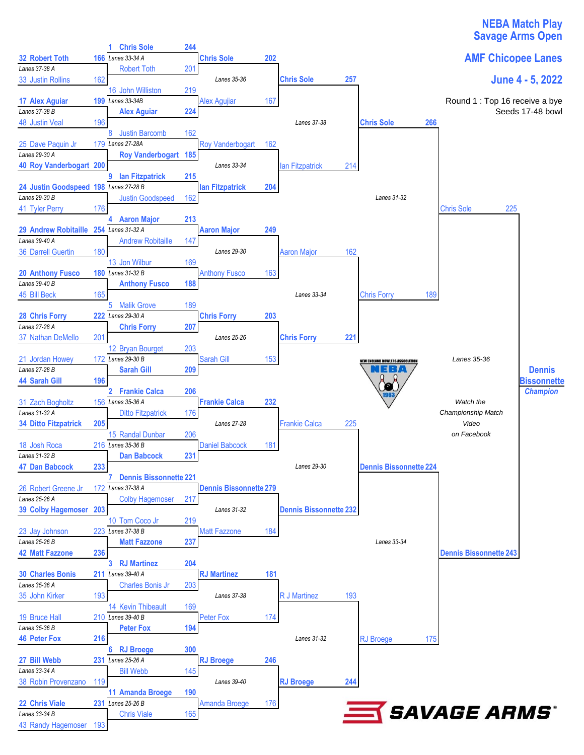